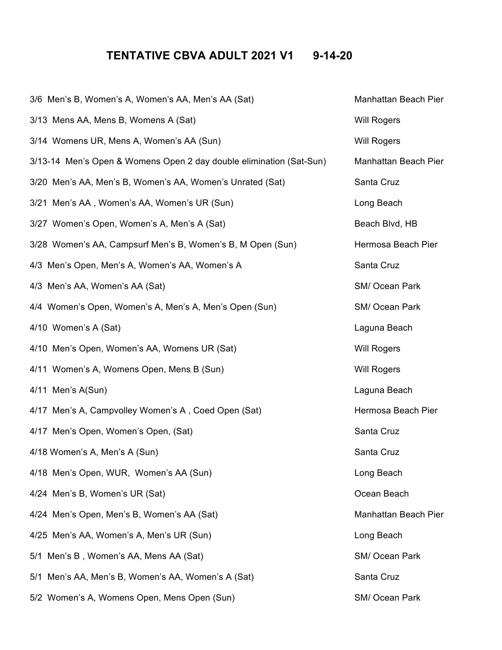## **TENTATIVE CBVA ADULT 2021 V1 9-14-20**

| 3/6 Men's B, Women's A, Women's AA, Men's AA (Sat)                  | Manhattan Beach Pier |
|---------------------------------------------------------------------|----------------------|
| 3/13 Mens AA, Mens B, Womens A (Sat)                                | <b>Will Rogers</b>   |
| 3/14 Womens UR, Mens A, Women's AA (Sun)                            | <b>Will Rogers</b>   |
| 3/13-14 Men's Open & Womens Open 2 day double elimination (Sat-Sun) | Manhattan Beach Pier |
| 3/20 Men's AA, Men's B, Women's AA, Women's Unrated (Sat)           | Santa Cruz           |
| 3/21 Men's AA, Women's AA, Women's UR (Sun)                         | Long Beach           |
| 3/27 Women's Open, Women's A, Men's A (Sat)                         | Beach Blvd, HB       |
| 3/28 Women's AA, Campsurf Men's B, Women's B, M Open (Sun)          | Hermosa Beach Pier   |
| 4/3 Men's Open, Men's A, Women's AA, Women's A                      | Santa Cruz           |
| 4/3 Men's AA, Women's AA (Sat)                                      | SM/ Ocean Park       |
| 4/4 Women's Open, Women's A, Men's A, Men's Open (Sun)              | SM/ Ocean Park       |
| 4/10 Women's A (Sat)                                                | Laguna Beach         |
| 4/10 Men's Open, Women's AA, Womens UR (Sat)                        | <b>Will Rogers</b>   |
| 4/11 Women's A, Womens Open, Mens B (Sun)                           | <b>Will Rogers</b>   |
| 4/11 Men's A(Sun)                                                   | Laguna Beach         |
| 4/17 Men's A, Campvolley Women's A, Coed Open (Sat)                 | Hermosa Beach Pier   |
| 4/17 Men's Open, Women's Open, (Sat)                                | Santa Cruz           |
| 4/18 Women's A, Men's A (Sun)                                       | Santa Cruz           |
| 4/18 Men's Open, WUR, Women's AA (Sun)                              | Long Beach           |
| 4/24 Men's B, Women's UR (Sat)                                      | Ocean Beach          |
| 4/24 Men's Open, Men's B, Women's AA (Sat)                          | Manhattan Beach Pier |
| 4/25 Men's AA, Women's A, Men's UR (Sun)                            | Long Beach           |
| 5/1 Men's B, Women's AA, Mens AA (Sat)                              | SM/ Ocean Park       |
| 5/1 Men's AA, Men's B, Women's AA, Women's A (Sat)                  | Santa Cruz           |
| 5/2 Women's A, Womens Open, Mens Open (Sun)                         | SM/ Ocean Park       |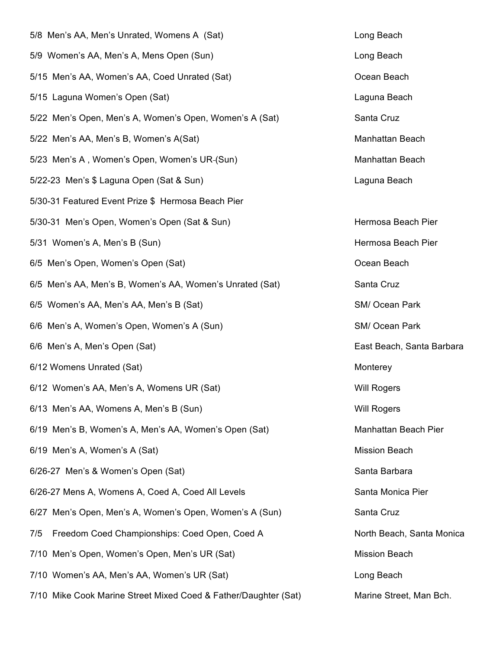| 5/8 Men's AA, Men's Unrated, Womens A (Sat)                     | Long Beach                |
|-----------------------------------------------------------------|---------------------------|
| 5/9 Women's AA, Men's A, Mens Open (Sun)                        | Long Beach                |
| 5/15 Men's AA, Women's AA, Coed Unrated (Sat)                   | Ocean Beach               |
| 5/15 Laguna Women's Open (Sat)                                  | Laguna Beach              |
| 5/22 Men's Open, Men's A, Women's Open, Women's A (Sat)         | Santa Cruz                |
| 5/22 Men's AA, Men's B, Women's A(Sat)                          | Manhattan Beach           |
| 5/23 Men's A, Women's Open, Women's UR-(Sun)                    | Manhattan Beach           |
| 5/22-23 Men's \$ Laguna Open (Sat & Sun)                        | Laguna Beach              |
| 5/30-31 Featured Event Prize \$ Hermosa Beach Pier              |                           |
| 5/30-31 Men's Open, Women's Open (Sat & Sun)                    | Hermosa Beach Pier        |
| 5/31 Women's A, Men's B (Sun)                                   | Hermosa Beach Pier        |
| 6/5 Men's Open, Women's Open (Sat)                              | Ocean Beach               |
| 6/5 Men's AA, Men's B, Women's AA, Women's Unrated (Sat)        | Santa Cruz                |
| 6/5 Women's AA, Men's AA, Men's B (Sat)                         | SM/ Ocean Park            |
| 6/6 Men's A, Women's Open, Women's A (Sun)                      | SM/ Ocean Park            |
| 6/6 Men's A, Men's Open (Sat)                                   | East Beach, Santa Barbara |
| 6/12 Womens Unrated (Sat)                                       | Monterey                  |
| 6/12 Women's AA, Men's A, Womens UR (Sat)                       | <b>Will Rogers</b>        |
| 6/13 Men's AA, Womens A, Men's B (Sun)                          | <b>Will Rogers</b>        |
| 6/19 Men's B, Women's A, Men's AA, Women's Open (Sat)           | Manhattan Beach Pier      |
| 6/19 Men's A, Women's A (Sat)                                   | <b>Mission Beach</b>      |
| 6/26-27 Men's & Women's Open (Sat)                              | Santa Barbara             |
| 6/26-27 Mens A, Womens A, Coed A, Coed All Levels               | Santa Monica Pier         |
| 6/27 Men's Open, Men's A, Women's Open, Women's A (Sun)         | Santa Cruz                |
| Freedom Coed Championships: Coed Open, Coed A<br>7/5            | North Beach, Santa Monica |
| 7/10 Men's Open, Women's Open, Men's UR (Sat)                   | <b>Mission Beach</b>      |
| 7/10 Women's AA, Men's AA, Women's UR (Sat)                     | Long Beach                |
| 7/10 Mike Cook Marine Street Mixed Coed & Father/Daughter (Sat) | Marine Street, Man Bch.   |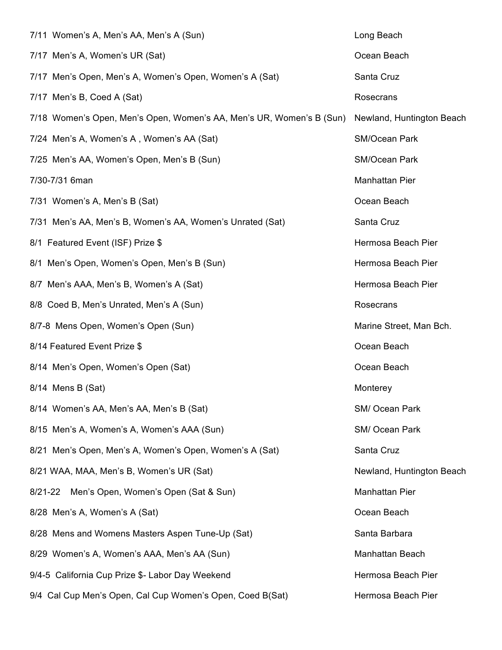| 7/11 Women's A, Men's AA, Men's A (Sun)                              | Long Beach                |
|----------------------------------------------------------------------|---------------------------|
| 7/17 Men's A, Women's UR (Sat)                                       | Ocean Beach               |
| 7/17 Men's Open, Men's A, Women's Open, Women's A (Sat)              | Santa Cruz                |
| 7/17 Men's B, Coed A (Sat)                                           | Rosecrans                 |
| 7/18 Women's Open, Men's Open, Women's AA, Men's UR, Women's B (Sun) | Newland, Huntington Beach |
| 7/24 Men's A, Women's A, Women's AA (Sat)                            | SM/Ocean Park             |
| 7/25 Men's AA, Women's Open, Men's B (Sun)                           | SM/Ocean Park             |
| 7/30-7/31 6man                                                       | <b>Manhattan Pier</b>     |
| 7/31 Women's A, Men's B (Sat)                                        | Ocean Beach               |
| 7/31 Men's AA, Men's B, Women's AA, Women's Unrated (Sat)            | Santa Cruz                |
| 8/1 Featured Event (ISF) Prize \$                                    | Hermosa Beach Pier        |
| 8/1 Men's Open, Women's Open, Men's B (Sun)                          | Hermosa Beach Pier        |
| 8/7 Men's AAA, Men's B, Women's A (Sat)                              | Hermosa Beach Pier        |
| 8/8 Coed B, Men's Unrated, Men's A (Sun)                             | Rosecrans                 |
| 8/7-8 Mens Open, Women's Open (Sun)                                  | Marine Street, Man Bch.   |
| 8/14 Featured Event Prize \$                                         | Ocean Beach               |
| 8/14 Men's Open, Women's Open (Sat)                                  | Ocean Beach               |
| 8/14 Mens B (Sat)                                                    | Monterey                  |
| 8/14 Women's AA, Men's AA, Men's B (Sat)                             | SM/ Ocean Park            |
| 8/15 Men's A, Women's A, Women's AAA (Sun)                           | SM/ Ocean Park            |
| 8/21 Men's Open, Men's A, Women's Open, Women's A (Sat)              | Santa Cruz                |
| 8/21 WAA, MAA, Men's B, Women's UR (Sat)                             | Newland, Huntington Beach |
| Men's Open, Women's Open (Sat & Sun)<br>$8/21 - 22$                  | <b>Manhattan Pier</b>     |
| 8/28 Men's A, Women's A (Sat)                                        | Ocean Beach               |
| 8/28 Mens and Womens Masters Aspen Tune-Up (Sat)                     | Santa Barbara             |
| 8/29 Women's A, Women's AAA, Men's AA (Sun)                          | Manhattan Beach           |
| 9/4-5 California Cup Prize \$- Labor Day Weekend                     | Hermosa Beach Pier        |
| 9/4 Cal Cup Men's Open, Cal Cup Women's Open, Coed B(Sat)            | Hermosa Beach Pier        |